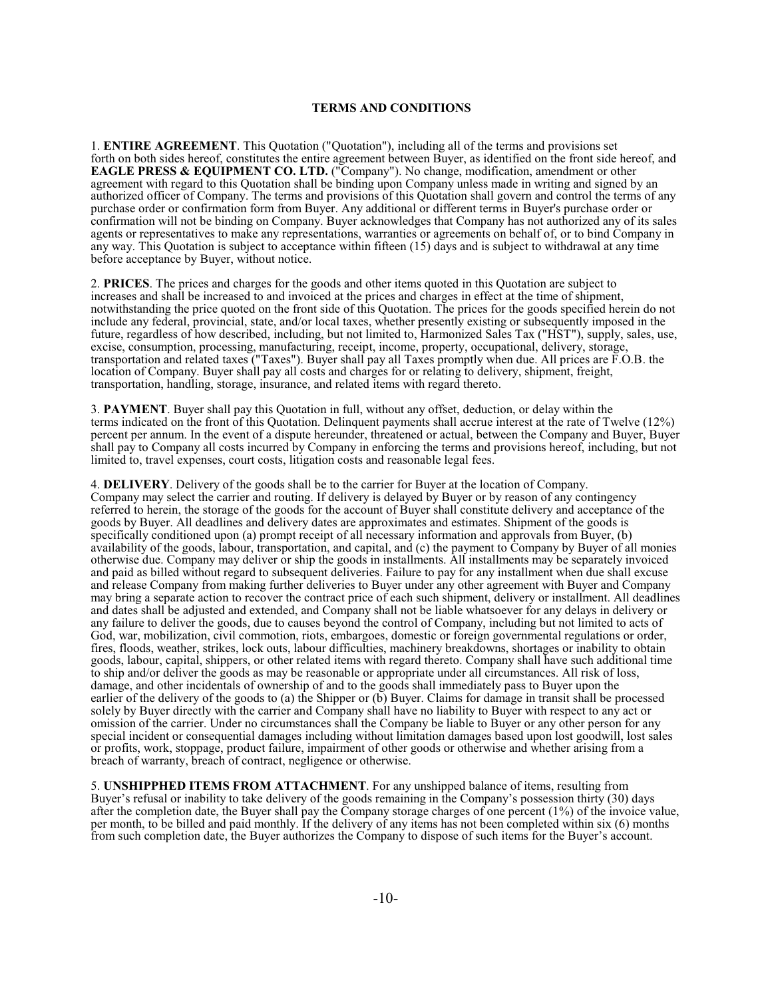## **TERMS AND CONDITIONS**

1. **ENTIRE AGREEMENT**. This Quotation ("Quotation"), including all of the terms and provisions set forth on both sides hereof, constitutes the entire agreement between Buyer, as identified on the front side hereof, and **EAGLE PRESS & EQUIPMENT CO. LTD.** ("Company"). No change, modification, amendment or other agreement with regard to this Quotation shall be binding upon Company unless made in writing and signed by an authorized officer of Company. The terms and provisions of this Quotation shall govern and control the terms of any purchase order or confirmation form from Buyer. Any additional or different terms in Buyer's purchase order or confirmation will not be binding on Company. Buyer acknowledges that Company has not authorized any of its sales agents or representatives to make any representations, warranties or agreements on behalf of, or to bind Company in any way. This Quotation is subject to acceptance within fifteen (15) days and is subject to withdrawal at any time before acceptance by Buyer, without notice.

2. **PRICES**. The prices and charges for the goods and other items quoted in this Quotation are subject to increases and shall be increased to and invoiced at the prices and charges in effect at the time of shipment, notwithstanding the price quoted on the front side of this Quotation. The prices for the goods specified herein do not include any federal, provincial, state, and/or local taxes, whether presently existing or subsequently imposed in the future, regardless of how described, including, but not limited to, Harmonized Sales Tax ("HST"), supply, sales, use, excise, consumption, processing, manufacturing, receipt, income, property, occupational, delivery, storage, transportation and related taxes ("Taxes"). Buyer shall pay all Taxes promptly when due. All prices are F.O.B. the location of Company. Buyer shall pay all costs and charges for or relating to delivery, shipment, freight, transportation, handling, storage, insurance, and related items with regard thereto.

3. **PAYMENT**. Buyer shall pay this Quotation in full, without any offset, deduction, or delay within the terms indicated on the front of this Quotation. Delinquent payments shall accrue interest at the rate of Twelve (12%) percent per annum. In the event of a dispute hereunder, threatened or actual, between the Company and Buyer, Buyer shall pay to Company all costs incurred by Company in enforcing the terms and provisions hereof, including, but not limited to, travel expenses, court costs, litigation costs and reasonable legal fees.

4. **DELIVERY**. Delivery of the goods shall be to the carrier for Buyer at the location of Company. Company may select the carrier and routing. If delivery is delayed by Buyer or by reason of any contingency referred to herein, the storage of the goods for the account of Buyer shall constitute delivery and acceptance of the goods by Buyer. All deadlines and delivery dates are approximates and estimates. Shipment of the goods is specifically conditioned upon (a) prompt receipt of all necessary information and approvals from Buyer, (b) availability of the goods, labour, transportation, and capital, and (c) the payment to Company by Buyer of all monies otherwise due. Company may deliver or ship the goods in installments. All installments may be separately invoiced and paid as billed without regard to subsequent deliveries. Failure to pay for any installment when due shall excuse and release Company from making further deliveries to Buyer under any other agreement with Buyer and Company may bring a separate action to recover the contract price of each such shipment, delivery or installment. All deadlines and dates shall be adjusted and extended, and Company shall not be liable whatsoever for any delays in delivery or any failure to deliver the goods, due to causes beyond the control of Company, including but not limited to acts of God, war, mobilization, civil commotion, riots, embargoes, domestic or foreign governmental regulations or order, fires, floods, weather, strikes, lock outs, labour difficulties, machinery breakdowns, shortages or inability to obtain goods, labour, capital, shippers, or other related items with regard thereto. Company shall have such additional time to ship and/or deliver the goods as may be reasonable or appropriate under all circumstances. All risk of loss, damage, and other incidentals of ownership of and to the goods shall immediately pass to Buyer upon the earlier of the delivery of the goods to (a) the Shipper or (b) Buyer. Claims for damage in transit shall be processed solely by Buyer directly with the carrier and Company shall have no liability to Buyer with respect to any act or omission of the carrier. Under no circumstances shall the Company be liable to Buyer or any other person for any special incident or consequential damages including without limitation damages based upon lost goodwill, lost sales or profits, work, stoppage, product failure, impairment of other goods or otherwise and whether arising from a breach of warranty, breach of contract, negligence or otherwise.

5. **UNSHIPPHED ITEMS FROM ATTACHMENT**. For any unshipped balance of items, resulting from Buyer's refusal or inability to take delivery of the goods remaining in the Company's possession thirty (30) days after the completion date, the Buyer shall pay the Company storage charges of one percent (1%) of the invoice value, per month, to be billed and paid monthly. If the delivery of any items has not been completed within six (6) months from such completion date, the Buyer authorizes the Company to dispose of such items for the Buyer's account.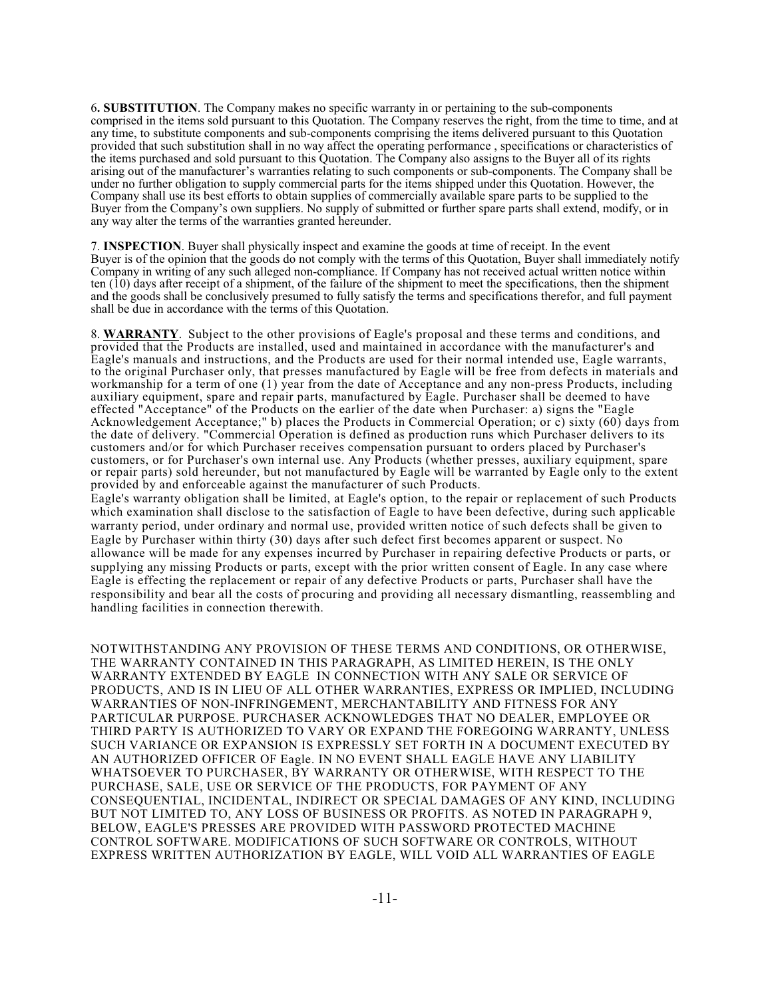6**. SUBSTITUTION**. The Company makes no specific warranty in or pertaining to the sub-components comprised in the items sold pursuant to this Quotation. The Company reserves the right, from the time to time, and at any time, to substitute components and sub-components comprising the items delivered pursuant to this Quotation provided that such substitution shall in no way affect the operating performance , specifications or characteristics of the items purchased and sold pursuant to this Quotation. The Company also assigns to the Buyer all of its rights arising out of the manufacturer's warranties relating to such components or sub-components. The Company shall be under no further obligation to supply commercial parts for the items shipped under this Quotation. However, the Company shall use its best efforts to obtain supplies of commercially available spare parts to be supplied to the Buyer from the Company's own suppliers. No supply of submitted or further spare parts shall extend, modify, or in any way alter the terms of the warranties granted hereunder.

7. **INSPECTION**. Buyer shall physically inspect and examine the goods at time of receipt. In the event Buyer is of the opinion that the goods do not comply with the terms of this Quotation, Buyer shall immediately notify Company in writing of any such alleged non-compliance. If Company has not received actual written notice within ten (10) days after receipt of a shipment, of the failure of the shipment to meet the specifications, then the shipment and the goods shall be conclusively presumed to fully satisfy the terms and specifications therefor, and full payment shall be due in accordance with the terms of this Quotation.

8. **WARRANTY**.Subject to the other provisions of Eagle's proposal and these terms and conditions, and provided that the Products are installed, used and maintained in accordance with the manufacturer's and Eagle's manuals and instructions, and the Products are used for their normal intended use, Eagle warrants, to the original Purchaser only, that presses manufactured by Eagle will be free from defects in materials and workmanship for a term of one (1) year from the date of Acceptance and any non-press Products, including auxiliary equipment, spare and repair parts, manufactured by Eagle. Purchaser shall be deemed to have effected "Acceptance" of the Products on the earlier of the date when Purchaser: a) signs the "Eagle Acknowledgement Acceptance;" b) places the Products in Commercial Operation; or c) sixty (60) days from the date of delivery. "Commercial Operation is defined as production runs which Purchaser delivers to its customers and/or for which Purchaser receives compensation pursuant to orders placed by Purchaser's customers, or for Purchaser's own internal use. Any Products (whether presses, auxiliary equipment, spare or repair parts) sold hereunder, but not manufactured by Eagle will be warranted by Eagle only to the extent provided by and enforceable against the manufacturer of such Products.

Eagle's warranty obligation shall be limited, at Eagle's option, to the repair or replacement of such Products which examination shall disclose to the satisfaction of Eagle to have been defective, during such applicable warranty period, under ordinary and normal use, provided written notice of such defects shall be given to Eagle by Purchaser within thirty (30) days after such defect first becomes apparent or suspect. No allowance will be made for any expenses incurred by Purchaser in repairing defective Products or parts, or supplying any missing Products or parts, except with the prior written consent of Eagle. In any case where Eagle is effecting the replacement or repair of any defective Products or parts, Purchaser shall have the responsibility and bear all the costs of procuring and providing all necessary dismantling, reassembling and handling facilities in connection therewith.

NOTWITHSTANDING ANY PROVISION OF THESE TERMS AND CONDITIONS, OR OTHERWISE, THE WARRANTY CONTAINED IN THIS PARAGRAPH, AS LIMITED HEREIN, IS THE ONLY WARRANTY EXTENDED BY EAGLE IN CONNECTION WITH ANY SALE OR SERVICE OF PRODUCTS, AND IS IN LIEU OF ALL OTHER WARRANTIES, EXPRESS OR IMPLIED, INCLUDING WARRANTIES OF NON-INFRINGEMENT, MERCHANTABILITY AND FITNESS FOR ANY PARTICULAR PURPOSE. PURCHASER ACKNOWLEDGES THAT NO DEALER, EMPLOYEE OR THIRD PARTY IS AUTHORIZED TO VARY OR EXPAND THE FOREGOING WARRANTY, UNLESS SUCH VARIANCE OR EXPANSION IS EXPRESSLY SET FORTH IN A DOCUMENT EXECUTED BY AN AUTHORIZED OFFICER OF Eagle. IN NO EVENT SHALL EAGLE HAVE ANY LIABILITY WHATSOEVER TO PURCHASER, BY WARRANTY OR OTHERWISE, WITH RESPECT TO THE PURCHASE, SALE, USE OR SERVICE OF THE PRODUCTS, FOR PAYMENT OF ANY CONSEQUENTIAL, INCIDENTAL, INDIRECT OR SPECIAL DAMAGES OF ANY KIND, INCLUDING BUT NOT LIMITED TO, ANY LOSS OF BUSINESS OR PROFITS. AS NOTED IN PARAGRAPH 9, BELOW, EAGLE'S PRESSES ARE PROVIDED WITH PASSWORD PROTECTED MACHINE CONTROL SOFTWARE. MODIFICATIONS OF SUCH SOFTWARE OR CONTROLS, WITHOUT EXPRESS WRITTEN AUTHORIZATION BY EAGLE, WILL VOID ALL WARRANTIES OF EAGLE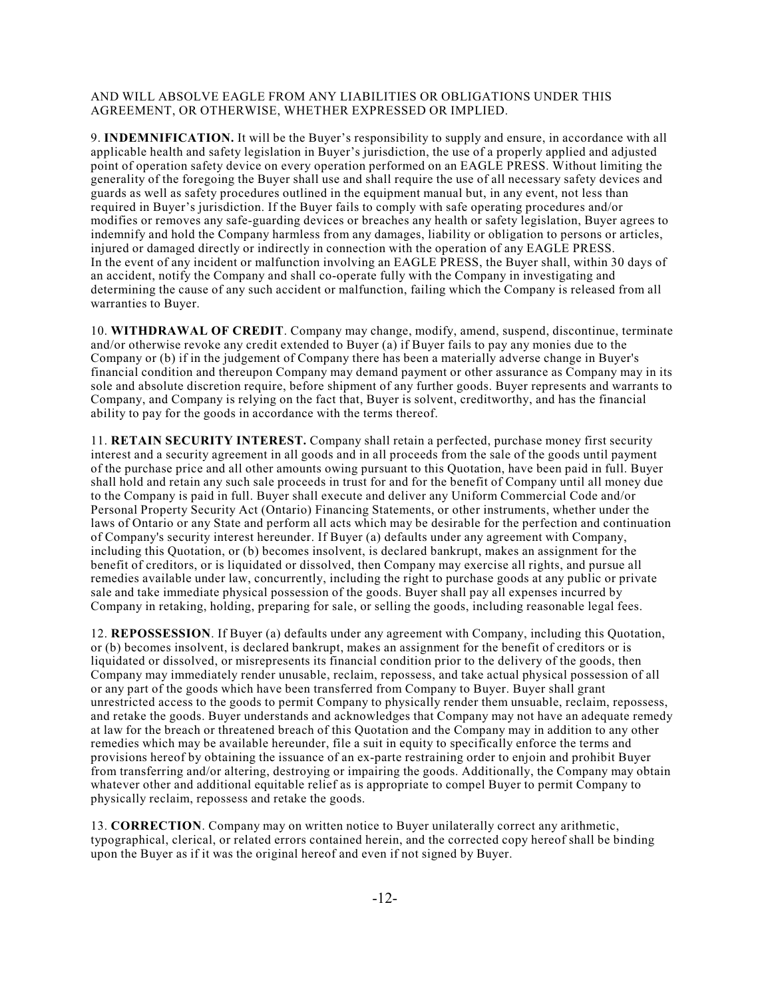## AND WILL ABSOLVE EAGLE FROM ANY LIABILITIES OR OBLIGATIONS UNDER THIS AGREEMENT, OR OTHERWISE, WHETHER EXPRESSED OR IMPLIED.

9. **INDEMNIFICATION.** It will be the Buyer's responsibility to supply and ensure, in accordance with all applicable health and safety legislation in Buyer's jurisdiction, the use of a properly applied and adjusted point of operation safety device on every operation performed on an EAGLE PRESS. Without limiting the generality of the foregoing the Buyer shall use and shall require the use of all necessary safety devices and guards as well as safety procedures outlined in the equipment manual but, in any event, not less than required in Buyer's jurisdiction. If the Buyer fails to comply with safe operating procedures and/or modifies or removes any safe-guarding devices or breaches any health or safety legislation, Buyer agrees to indemnify and hold the Company harmless from any damages, liability or obligation to persons or articles, injured or damaged directly or indirectly in connection with the operation of any EAGLE PRESS. In the event of any incident or malfunction involving an EAGLE PRESS, the Buyer shall, within 30 days of an accident, notify the Company and shall co-operate fully with the Company in investigating and determining the cause of any such accident or malfunction, failing which the Company is released from all warranties to Buyer.

10. **WITHDRAWAL OF CREDIT**. Company may change, modify, amend, suspend, discontinue, terminate and/or otherwise revoke any credit extended to Buyer (a) if Buyer fails to pay any monies due to the Company or (b) if in the judgement of Company there has been a materially adverse change in Buyer's financial condition and thereupon Company may demand payment or other assurance as Company may in its sole and absolute discretion require, before shipment of any further goods. Buyer represents and warrants to Company, and Company is relying on the fact that, Buyer is solvent, creditworthy, and has the financial ability to pay for the goods in accordance with the terms thereof.

11. **RETAIN SECURITY INTEREST.** Company shall retain a perfected, purchase money first security interest and a security agreement in all goods and in all proceeds from the sale of the goods until payment of the purchase price and all other amounts owing pursuant to this Quotation, have been paid in full. Buyer shall hold and retain any such sale proceeds in trust for and for the benefit of Company until all money due to the Company is paid in full. Buyer shall execute and deliver any Uniform Commercial Code and/or Personal Property Security Act (Ontario) Financing Statements, or other instruments, whether under the laws of Ontario or any State and perform all acts which may be desirable for the perfection and continuation of Company's security interest hereunder. If Buyer (a) defaults under any agreement with Company, including this Quotation, or (b) becomes insolvent, is declared bankrupt, makes an assignment for the benefit of creditors, or is liquidated or dissolved, then Company may exercise all rights, and pursue all remedies available under law, concurrently, including the right to purchase goods at any public or private sale and take immediate physical possession of the goods. Buyer shall pay all expenses incurred by Company in retaking, holding, preparing for sale, or selling the goods, including reasonable legal fees.

12. **REPOSSESSION**. If Buyer (a) defaults under any agreement with Company, including this Quotation, or (b) becomes insolvent, is declared bankrupt, makes an assignment for the benefit of creditors or is liquidated or dissolved, or misrepresents its financial condition prior to the delivery of the goods, then Company may immediately render unusable, reclaim, repossess, and take actual physical possession of all or any part of the goods which have been transferred from Company to Buyer. Buyer shall grant unrestricted access to the goods to permit Company to physically render them unsuable, reclaim, repossess, and retake the goods. Buyer understands and acknowledges that Company may not have an adequate remedy at law for the breach or threatened breach of this Quotation and the Company may in addition to any other remedies which may be available hereunder, file a suit in equity to specifically enforce the terms and provisions hereof by obtaining the issuance of an ex-parte restraining order to enjoin and prohibit Buyer from transferring and/or altering, destroying or impairing the goods. Additionally, the Company may obtain whatever other and additional equitable relief as is appropriate to compel Buyer to permit Company to physically reclaim, repossess and retake the goods.

13. **CORRECTION**. Company may on written notice to Buyer unilaterally correct any arithmetic, typographical, clerical, or related errors contained herein, and the corrected copy hereof shall be binding upon the Buyer as if it was the original hereof and even if not signed by Buyer.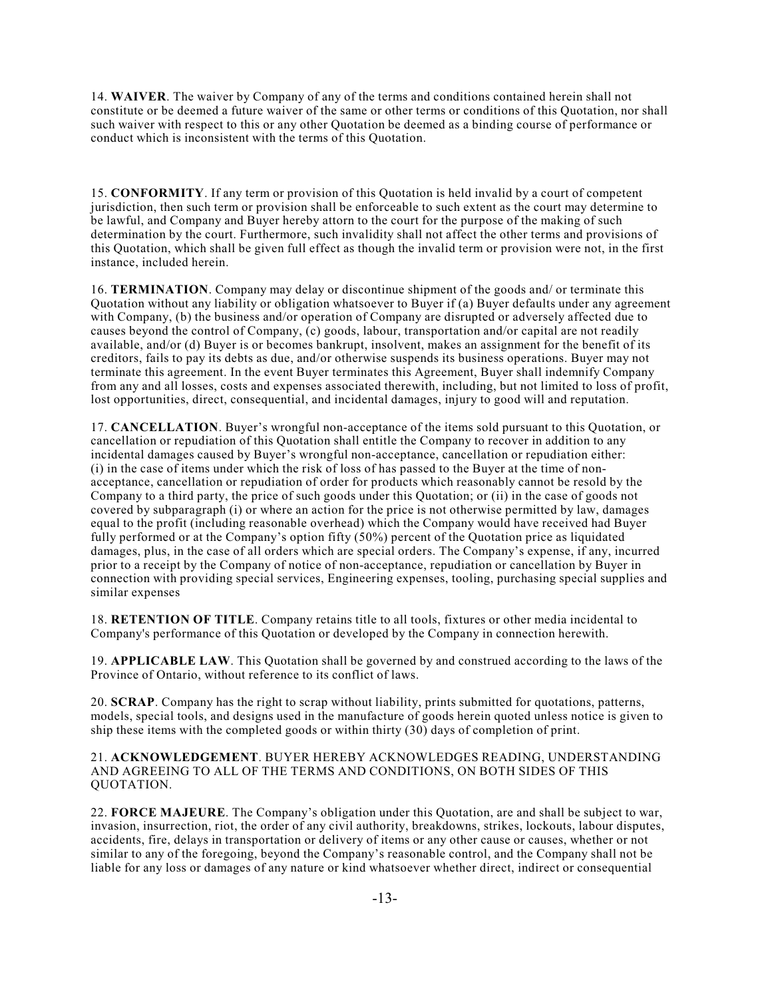14. **WAIVER**. The waiver by Company of any of the terms and conditions contained herein shall not constitute or be deemed a future waiver of the same or other terms or conditions of this Quotation, nor shall such waiver with respect to this or any other Quotation be deemed as a binding course of performance or conduct which is inconsistent with the terms of this Quotation.

15. **CONFORMITY**. If any term or provision of this Quotation is held invalid by a court of competent jurisdiction, then such term or provision shall be enforceable to such extent as the court may determine to be lawful, and Company and Buyer hereby attorn to the court for the purpose of the making of such determination by the court. Furthermore, such invalidity shall not affect the other terms and provisions of this Quotation, which shall be given full effect as though the invalid term or provision were not, in the first instance, included herein.

16. **TERMINATION**. Company may delay or discontinue shipment of the goods and/ or terminate this Quotation without any liability or obligation whatsoever to Buyer if (a) Buyer defaults under any agreement with Company, (b) the business and/or operation of Company are disrupted or adversely affected due to causes beyond the control of Company, (c) goods, labour, transportation and/or capital are not readily available, and/or (d) Buyer is or becomes bankrupt, insolvent, makes an assignment for the benefit of its creditors, fails to pay its debts as due, and/or otherwise suspends its business operations. Buyer may not terminate this agreement. In the event Buyer terminates this Agreement, Buyer shall indemnify Company from any and all losses, costs and expenses associated therewith, including, but not limited to loss of profit, lost opportunities, direct, consequential, and incidental damages, injury to good will and reputation.

17. **CANCELLATION**. Buyer's wrongful non-acceptance of the items sold pursuant to this Quotation, or cancellation or repudiation of this Quotation shall entitle the Company to recover in addition to any incidental damages caused by Buyer's wrongful non-acceptance, cancellation or repudiation either: (i) in the case of items under which the risk of loss of has passed to the Buyer at the time of nonacceptance, cancellation or repudiation of order for products which reasonably cannot be resold by the Company to a third party, the price of such goods under this Quotation; or (ii) in the case of goods not covered by subparagraph (i) or where an action for the price is not otherwise permitted by law, damages equal to the profit (including reasonable overhead) which the Company would have received had Buyer fully performed or at the Company's option fifty (50%) percent of the Quotation price as liquidated damages, plus, in the case of all orders which are special orders. The Company's expense, if any, incurred prior to a receipt by the Company of notice of non-acceptance, repudiation or cancellation by Buyer in connection with providing special services, Engineering expenses, tooling, purchasing special supplies and similar expenses

18. **RETENTION OF TITLE**. Company retains title to all tools, fixtures or other media incidental to Company's performance of this Quotation or developed by the Company in connection herewith.

19. **APPLICABLE LAW**. This Quotation shall be governed by and construed according to the laws of the Province of Ontario, without reference to its conflict of laws.

20. **SCRAP**. Company has the right to scrap without liability, prints submitted for quotations, patterns, models, special tools, and designs used in the manufacture of goods herein quoted unless notice is given to ship these items with the completed goods or within thirty (30) days of completion of print.

## 21. **ACKNOWLEDGEMENT**. BUYER HEREBY ACKNOWLEDGES READING, UNDERSTANDING AND AGREEING TO ALL OF THE TERMS AND CONDITIONS, ON BOTH SIDES OF THIS QUOTATION.

22. **FORCE MAJEURE**. The Company's obligation under this Quotation, are and shall be subject to war, invasion, insurrection, riot, the order of any civil authority, breakdowns, strikes, lockouts, labour disputes, accidents, fire, delays in transportation or delivery of items or any other cause or causes, whether or not similar to any of the foregoing, beyond the Company's reasonable control, and the Company shall not be liable for any loss or damages of any nature or kind whatsoever whether direct, indirect or consequential